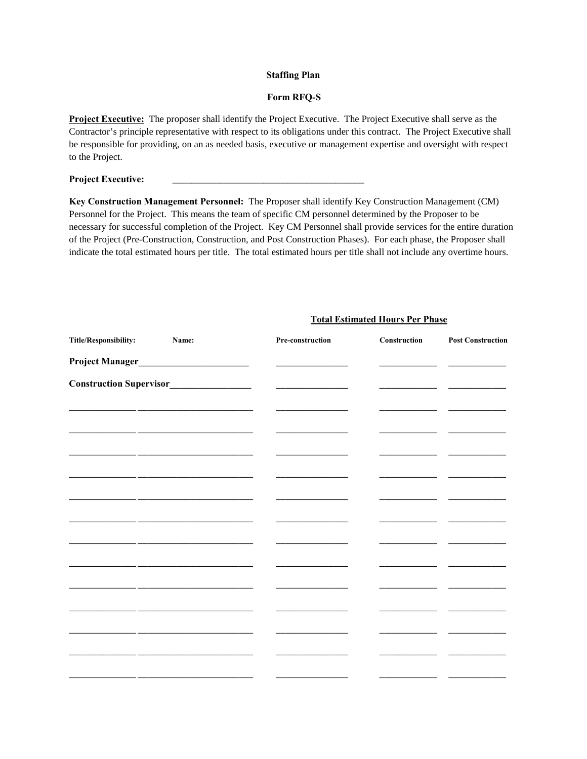### **Staffing Plan**

### **Form RFQ-S**

**Project Executive:** The proposer shall identify the Project Executive. The Project Executive shall serve as the Contractor's principle representative with respect to its obligations under this contract. The Project Executive shall be responsible for providing, on an as needed basis, executive or management expertise and oversight with respect to the Project.

## **Project Executive:**

**Key Construction Management Personnel:** The Proposer shall identify Key Construction Management (CM) Personnel for the Project. This means the team of specific CM personnel determined by the Proposer to be necessary for successful completion of the Project. Key CM Personnel shall provide services for the entire duration of the Project (Pre-Construction, Construction, and Post Construction Phases). For each phase, the Proposer shall indicate the total estimated hours per title. The total estimated hours per title shall not include any overtime hours.

| Title/Responsibility: | Name:                                             | Pre-construction | Construction | <b>Post Construction</b> |
|-----------------------|---------------------------------------------------|------------------|--------------|--------------------------|
| Project Manager_      | <u> 1989 - Johann Barnett, fransk politiker (</u> |                  |              |                          |
|                       |                                                   |                  |              |                          |
|                       |                                                   |                  |              |                          |
|                       |                                                   |                  |              |                          |
|                       |                                                   |                  |              |                          |
|                       |                                                   |                  |              |                          |
|                       |                                                   |                  |              |                          |
|                       |                                                   |                  |              |                          |
|                       |                                                   |                  |              |                          |
|                       |                                                   |                  |              |                          |
|                       |                                                   |                  |              |                          |
|                       |                                                   |                  |              |                          |
|                       |                                                   |                  |              |                          |
|                       |                                                   |                  |              |                          |
|                       |                                                   |                  |              |                          |
|                       |                                                   |                  |              |                          |

## **Total Estimated Hours Per Phase**